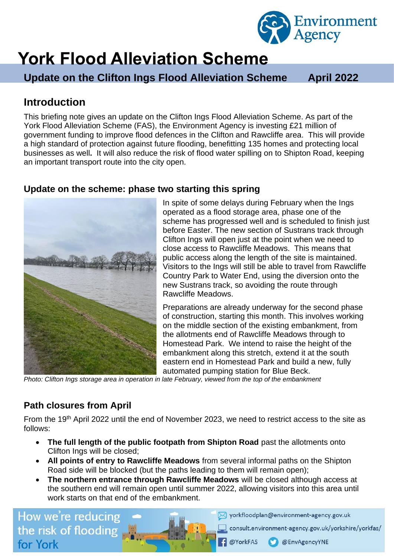

# **York Flood Alleviation Scheme**

**Update on the Clifton Ings Flood Alleviation Scheme April 2022** 

# **Introduction**

This briefing note gives an update on the Clifton Ings Flood Alleviation Scheme. As part of the York Flood Alleviation Scheme (FAS), the Environment Agency is investing £21 million of government funding to improve flood defences in the Clifton and Rawcliffe area. This will provide a high standard of protection against future flooding, benefitting 135 homes and protecting local businesses as well**.** It will also reduce the risk of flood water spilling on to Shipton Road, keeping an important transport route into the city open.

#### **Update on the scheme: phase two starting this spring**



In spite of some delays during February when the Ings operated as a flood storage area, phase one of the scheme has progressed well and is scheduled to finish just before Easter. The new section of Sustrans track through Clifton Ings will open just at the point when we need to close access to Rawcliffe Meadows. This means that public access along the length of the site is maintained. Visitors to the Ings will still be able to travel from Rawcliffe Country Park to Water End, using the diversion onto the new Sustrans track, so avoiding the route through Rawcliffe Meadows.

Preparations are already underway for the second phase of construction, starting this month. This involves working on the middle section of the existing embankment, from the allotments end of Rawcliffe Meadows through to Homestead Park. We intend to raise the height of the embankment along this stretch, extend it at the south eastern end in Homestead Park and build a new, fully automated pumping station for Blue Beck.

*Photo: Clifton Ings storage area in operation in late February, viewed from the top of the embankment*

### **Path closures from April**

From the 19th April 2022 until the end of November 2023, we need to restrict access to the site as follows:

- **The full length of the public footpath from Shipton Road** past the allotments onto Clifton Ings will be closed;
- **All points of entry to Rawcliffe Meadows** from several informal paths on the Shipton Road side will be blocked (but the paths leading to them will remain open);
- **The northern entrance through Rawcliffe Meadows** will be closed although access at the southern end will remain open until summer 2022, allowing visitors into this area until work starts on that end of the embankment.

**@YorkFAS** 

How we're reducing the risk of flooding for York

Vorkfloodplan@environment-agency.gov.uk

consult.environment-agency.gov.uk/yorkshire/yorkfas/

@EnvAgencyYNE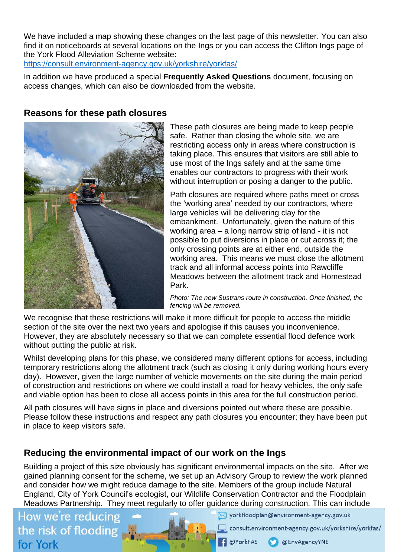We have included a map showing these changes on the last page of this newsletter. You can also find it on noticeboards at several locations on the Ings or you can access the Clifton Ings page of the York Flood Alleviation Scheme website:

<https://consult.environment-agency.gov.uk/yorkshire/yorkfas/>

In addition we have produced a special **Frequently Asked Questions** document, focusing on access changes, which can also be downloaded from the website.

#### **Reasons for these path closures**



These path closures are being made to keep people safe. Rather than closing the whole site, we are restricting access only in areas where construction is taking place. This ensures that visitors are still able to use most of the Ings safely and at the same time enables our contractors to progress with their work without interruption or posing a danger to the public.

Path closures are required where paths meet or cross the 'working area' needed by our contractors, where large vehicles will be delivering clay for the embankment. Unfortunately, given the nature of this working area – a long narrow strip of land - it is not possible to put diversions in place or cut across it; the only crossing points are at either end, outside the working area. This means we must close the allotment track and all informal access points into Rawcliffe Meadows between the allotment track and Homestead Park.

*Photo: The new Sustrans route in construction. Once finished, the fencing will be removed.*

We recognise that these restrictions will make it more difficult for people to access the middle section of the site over the next two years and apologise if this causes you inconvenience. However, they are absolutely necessary so that we can complete essential flood defence work without putting the public at risk.

Whilst developing plans for this phase, we considered many different options for access, including temporary restrictions along the allotment track (such as closing it only during working hours every day). However, given the large number of vehicle movements on the site during the main period of construction and restrictions on where we could install a road for heavy vehicles, the only safe and viable option has been to close all access points in this area for the full construction period.

All path closures will have signs in place and diversions pointed out where these are possible. Please follow these instructions and respect any path closures you encounter; they have been put in place to keep visitors safe.

#### **Reducing the environmental impact of our work on the Ings**

Building a project of this size obviously has significant environmental impacts on the site. After we gained planning consent for the scheme, we set up an Advisory Group to review the work planned and consider how we might reduce damage to the site. Members of the group include Natural England, City of York Council's ecologist, our Wildlife Conservation Contractor and the Floodplain Meadows Partnership. They meet regularly to offer guidance during construction. This can include

How we're reducing the risk of flooding for York

Vorkfloodplan@environment-agency.gov.uk

consult.environment-agency.gov.uk/yorkshire/yorkfas/

**@YorkFAS** @EnvAgencyYNE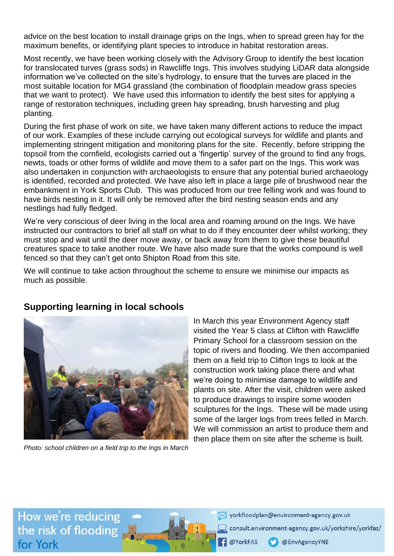advice on the best location to install drainage grips on the Ings, when to spread green hay for the maximum benefits, or identifying plant species to introduce in habitat restoration areas.

Most recently, we have been working closely with the Advisory Group to identify the best location for translocated turves (grass sods) in Rawcliffe Ings. This involves studying LiDAR data alongside information we've collected on the site's hydrology, to ensure that the turves are placed in the most suitable location for MG4 grassland (the combination of floodplain meadow grass species that we want to protect). We have used this information to identify the best sites for applying a range of restoration techniques, including green hay spreading, brush harvesting and plug planting.

During the first phase of work on site, we have taken many different actions to reduce the impact of our work. Examples of these include carrying out ecological surveys for wildlife and plants and implementing stringent mitigation and monitoring plans for the site. Recently, before stripping the topsoil from the cornfield, ecologists carried out a 'fingertip' survey of the ground to find any frogs, newts, toads or other forms of wildlife and move them to a safer part on the Ings. This work was also undertaken in conjunction with archaeologists to ensure that any potential buried archaeology is identified, recorded and protected. We have also left in place a large pile of brushwood near the embankment in York Sports Club. This was produced from our tree felling work and was found to have birds nesting in it. It will only be removed after the bird nesting season ends and any nestlings had fully fledged.

We're very conscious of deer living in the local area and roaming around on the Ings. We have instructed our contractors to brief all staff on what to do if they encounter deer whilst working; they must stop and wait until the deer move away, or back away from them to give these beautiful creatures space to take another route. We have also made sure that the works compound is well fenced so that they can't get onto Shipton Road from this site.

We will continue to take action throughout the scheme to ensure we minimise our impacts as much as possible.



#### **Supporting learning in local schools**

*Photo: school children on a field trip to the Ings in March*

In March this year Environment Agency staff visited the Year 5 class at Clifton with Rawcliffe Primary School for a classroom session on the topic of rivers and flooding. We then accompanied them on a field trip to Clifton Ings to look at the construction work taking place there and what we're doing to minimise damage to wildlife and plants on site. After the visit, children were asked to produce drawings to inspire some wooden sculptures for the Ings. These will be made using some of the larger logs from trees felled in March. We will commission an artist to produce them and then place them on site after the scheme is built.

How we're reducing the risk of flooding for York

Vorkfloodplan@environment-agency.gov.uk

consult.environment-agency.gov.uk/yorkshire/yorkfas/

@EnvAgencyYNE

@YorkFAS